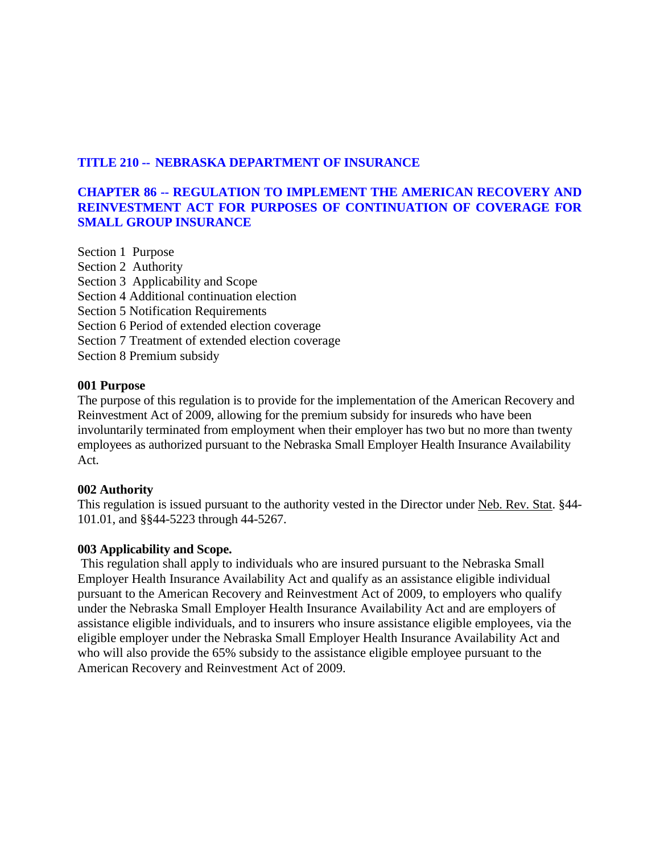# **TITLE 210 -- NEBRASKA DEPARTMENT OF INSURANCE**

# **CHAPTER 86 -- REGULATION TO IMPLEMENT THE AMERICAN RECOVERY AND REINVESTMENT ACT FOR PURPOSES OF CONTINUATION OF COVERAGE FOR SMALL GROUP INSURANCE**

Section 1 Purpose Section 2 Authority Section 3 Applicability and Scope Section 4 Additional continuation election Section 5 Notification Requirements Section 6 Period of extended election coverage Section 7 Treatment of extended election coverage Section 8 Premium subsidy

### **001 Purpose**

The purpose of this regulation is to provide for the implementation of the American Recovery and Reinvestment Act of 2009, allowing for the premium subsidy for insureds who have been involuntarily terminated from employment when their employer has two but no more than twenty employees as authorized pursuant to the Nebraska Small Employer Health Insurance Availability Act.

### **002 Authority**

This regulation is issued pursuant to the authority vested in the Director under Neb. Rev. Stat. §44- 101.01, and §§44-5223 through 44-5267.

### **003 Applicability and Scope.**

This regulation shall apply to individuals who are insured pursuant to the Nebraska Small Employer Health Insurance Availability Act and qualify as an assistance eligible individual pursuant to the American Recovery and Reinvestment Act of 2009, to employers who qualify under the Nebraska Small Employer Health Insurance Availability Act and are employers of assistance eligible individuals, and to insurers who insure assistance eligible employees, via the eligible employer under the Nebraska Small Employer Health Insurance Availability Act and who will also provide the 65% subsidy to the assistance eligible employee pursuant to the American Recovery and Reinvestment Act of 2009.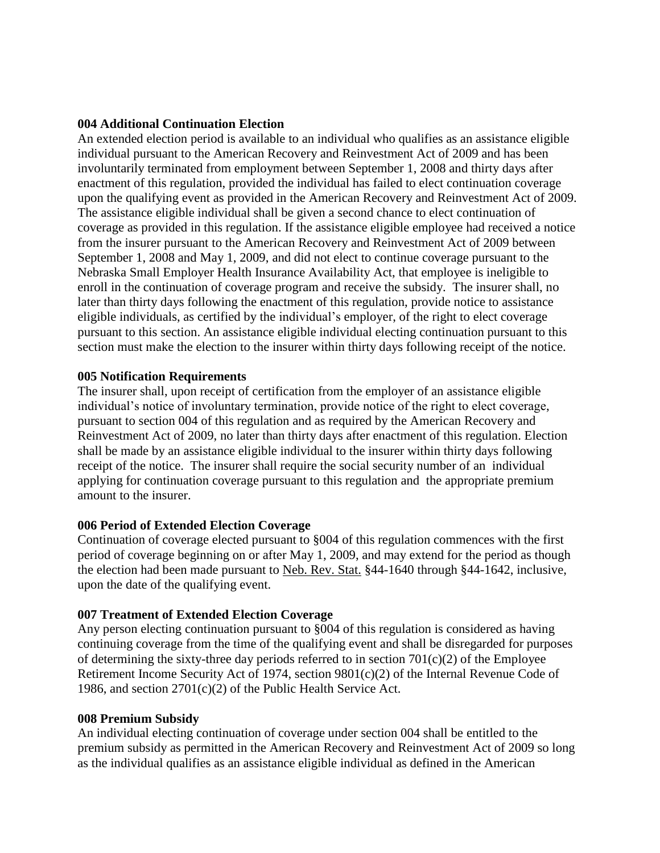### **004 Additional Continuation Election**

An extended election period is available to an individual who qualifies as an assistance eligible individual pursuant to the American Recovery and Reinvestment Act of 2009 and has been involuntarily terminated from employment between September 1, 2008 and thirty days after enactment of this regulation, provided the individual has failed to elect continuation coverage upon the qualifying event as provided in the American Recovery and Reinvestment Act of 2009. The assistance eligible individual shall be given a second chance to elect continuation of coverage as provided in this regulation. If the assistance eligible employee had received a notice from the insurer pursuant to the American Recovery and Reinvestment Act of 2009 between September 1, 2008 and May 1, 2009, and did not elect to continue coverage pursuant to the Nebraska Small Employer Health Insurance Availability Act, that employee is ineligible to enroll in the continuation of coverage program and receive the subsidy. The insurer shall, no later than thirty days following the enactment of this regulation, provide notice to assistance eligible individuals, as certified by the individual's employer, of the right to elect coverage pursuant to this section. An assistance eligible individual electing continuation pursuant to this section must make the election to the insurer within thirty days following receipt of the notice.

#### **005 Notification Requirements**

The insurer shall, upon receipt of certification from the employer of an assistance eligible individual's notice of involuntary termination, provide notice of the right to elect coverage, pursuant to section 004 of this regulation and as required by the American Recovery and Reinvestment Act of 2009, no later than thirty days after enactment of this regulation. Election shall be made by an assistance eligible individual to the insurer within thirty days following receipt of the notice. The insurer shall require the social security number of an individual applying for continuation coverage pursuant to this regulation and the appropriate premium amount to the insurer.

### **006 Period of Extended Election Coverage**

Continuation of coverage elected pursuant to §004 of this regulation commences with the first period of coverage beginning on or after May 1, 2009, and may extend for the period as though the election had been made pursuant to Neb. Rev. Stat. §44-1640 through §44-1642, inclusive, upon the date of the qualifying event.

### **007 Treatment of Extended Election Coverage**

Any person electing continuation pursuant to §004 of this regulation is considered as having continuing coverage from the time of the qualifying event and shall be disregarded for purposes of determining the sixty-three day periods referred to in section  $701(c)(2)$  of the Employee Retirement Income Security Act of 1974, section 9801(c)(2) of the Internal Revenue Code of 1986, and section 2701(c)(2) of the Public Health Service Act.

#### **008 Premium Subsidy**

An individual electing continuation of coverage under section 004 shall be entitled to the premium subsidy as permitted in the American Recovery and Reinvestment Act of 2009 so long as the individual qualifies as an assistance eligible individual as defined in the American